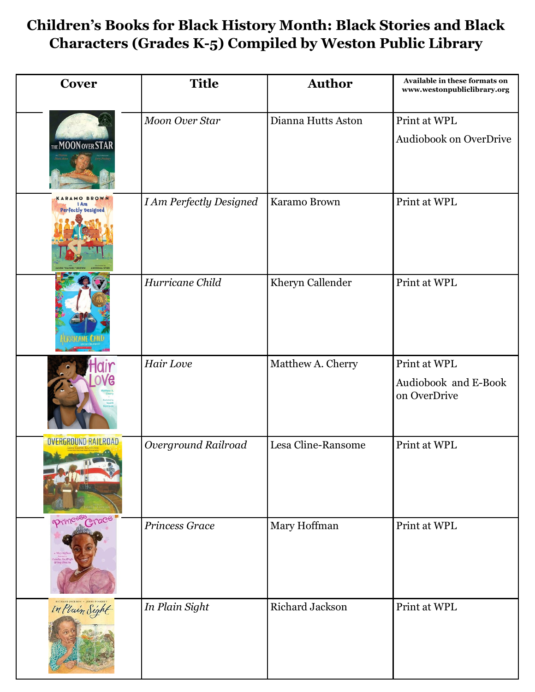## **Children's Books for Black History Month: Black Stories and Black Characters (Grades K-5) Compiled by Weston Public Library**

| <b>Cover</b>                                    | <b>Title</b>                   | <b>Author</b>      | Available in these formats on<br>www.westonpubliclibrary.org |
|-------------------------------------------------|--------------------------------|--------------------|--------------------------------------------------------------|
| THE MOON OVER STAR                              | <b>Moon Over Star</b>          | Dianna Hutts Aston | Print at WPL<br>Audiobook on OverDrive                       |
| <b>MO BROWN</b><br>Perfectly Designed           | <b>I Am Perfectly Designed</b> | Karamo Brown       | Print at WPL                                                 |
|                                                 | Hurricane Child                | Kheryn Callender   | Print at WPL                                                 |
|                                                 | Hair Love                      | Matthew A. Cherry  | Print at WPL<br>Audiobook and E-Book<br>on OverDrive         |
| <b>OVERGROUND RAILROAD</b>                      | Overground Railroad            | Lesa Cline-Ransome | Print at WPL                                                 |
| oprincess Crace<br>studius Van I<br>de Yang Haw | Princess Grace                 | Mary Hoffman       | Print at WPL                                                 |
| In Plain Sight                                  | In Plain Sight                 | Richard Jackson    | Print at WPL                                                 |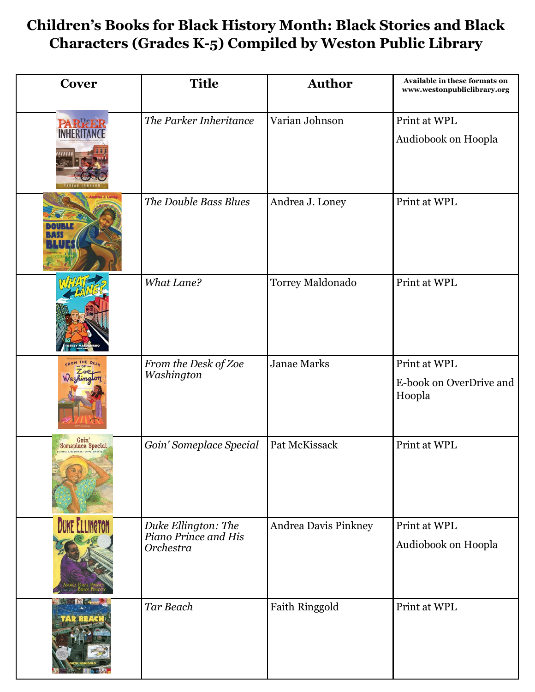## **Children's Books for Black History Month: Black Stories and Black Characters (Grades K-5) Compiled by Weston Public Library**

| Cover                      | <b>Title</b>                                             | <b>Author</b>        | Available in these formats on<br>www.westonpubliclibrary.org |
|----------------------------|----------------------------------------------------------|----------------------|--------------------------------------------------------------|
| <b>PARKE</b>               | The Parker Inheritance                                   | Varian Johnson       | Print at WPL<br>Audiobook on Hoopla                          |
|                            | The Double Bass Blues                                    | Andrea J. Loney      | Print at WPL                                                 |
|                            | <b>What Lane?</b>                                        | Torrey Maldonado     | Print at WPL                                                 |
| FROM                       | From the Desk of Zoe<br>Washington                       | <b>Janae Marks</b>   | Print at WPL<br>E-book on OverDrive and<br>Hoopla            |
| Goin'<br>Someplace Special | Goin' Someplace Special                                  | Pat McKissack        | Print at WPL                                                 |
| <b>DUKE ELLINGTON</b>      | Duke Ellington: The<br>Piano Prince and His<br>Orchestra | Andrea Davis Pinkney | Print at WPL<br>Audiobook on Hoopla                          |
| <b>TAR RE</b>              | Tar Beach                                                | Faith Ringgold       | Print at WPL                                                 |